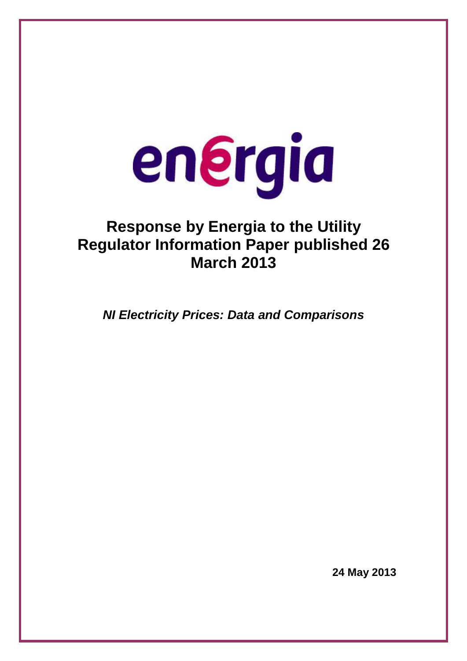# energia

# **Response by Energia to the Utility Regulator Information Paper published 26 March 2013**

*NI Electricity Prices: Data and Comparisons* 

**24 May 2013**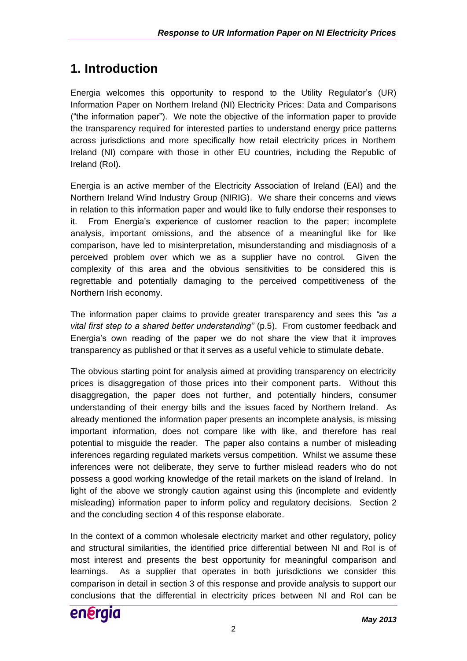# **1. Introduction**

Energia welcomes this opportunity to respond to the Utility Regulator"s (UR) Information Paper on Northern Ireland (NI) Electricity Prices: Data and Comparisons ("the information paper"). We note the objective of the information paper to provide the transparency required for interested parties to understand energy price patterns across jurisdictions and more specifically how retail electricity prices in Northern Ireland (NI) compare with those in other EU countries, including the Republic of Ireland (RoI).

Energia is an active member of the Electricity Association of Ireland (EAI) and the Northern Ireland Wind Industry Group (NIRIG). We share their concerns and views in relation to this information paper and would like to fully endorse their responses to it. From Energia"s experience of customer reaction to the paper; incomplete analysis, important omissions, and the absence of a meaningful like for like comparison, have led to misinterpretation, misunderstanding and misdiagnosis of a perceived problem over which we as a supplier have no control. Given the complexity of this area and the obvious sensitivities to be considered this is regrettable and potentially damaging to the perceived competitiveness of the Northern Irish economy.

The information paper claims to provide greater transparency and sees this *"as a vital first step to a shared better understanding"* (p.5). From customer feedback and Energia"s own reading of the paper we do not share the view that it improves transparency as published or that it serves as a useful vehicle to stimulate debate.

The obvious starting point for analysis aimed at providing transparency on electricity prices is disaggregation of those prices into their component parts. Without this disaggregation, the paper does not further, and potentially hinders, consumer understanding of their energy bills and the issues faced by Northern Ireland. As already mentioned the information paper presents an incomplete analysis, is missing important information, does not compare like with like, and therefore has real potential to misguide the reader. The paper also contains a number of misleading inferences regarding regulated markets versus competition. Whilst we assume these inferences were not deliberate, they serve to further mislead readers who do not possess a good working knowledge of the retail markets on the island of Ireland. In light of the above we strongly caution against using this (incomplete and evidently misleading) information paper to inform policy and regulatory decisions. Section 2 and the concluding section 4 of this response elaborate.

In the context of a common wholesale electricity market and other regulatory, policy and structural similarities, the identified price differential between NI and RoI is of most interest and presents the best opportunity for meaningful comparison and learnings. As a supplier that operates in both jurisdictions we consider this comparison in detail in section 3 of this response and provide analysis to support our conclusions that the differential in electricity prices between NI and RoI can be

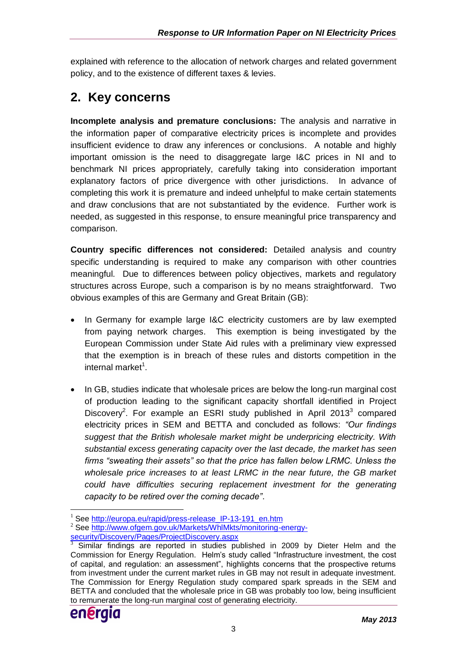explained with reference to the allocation of network charges and related government policy, and to the existence of different taxes & levies.

# **2. Key concerns**

**Incomplete analysis and premature conclusions:** The analysis and narrative in the information paper of comparative electricity prices is incomplete and provides insufficient evidence to draw any inferences or conclusions. A notable and highly important omission is the need to disaggregate large I&C prices in NI and to benchmark NI prices appropriately, carefully taking into consideration important explanatory factors of price divergence with other jurisdictions. In advance of completing this work it is premature and indeed unhelpful to make certain statements and draw conclusions that are not substantiated by the evidence. Further work is needed, as suggested in this response, to ensure meaningful price transparency and comparison.

**Country specific differences not considered:** Detailed analysis and country specific understanding is required to make any comparison with other countries meaningful. Due to differences between policy objectives, markets and regulatory structures across Europe, such a comparison is by no means straightforward. Two obvious examples of this are Germany and Great Britain (GB):

- In Germany for example large I&C electricity customers are by law exempted from paying network charges. This exemption is being investigated by the European Commission under State Aid rules with a preliminary view expressed that the exemption is in breach of these rules and distorts competition in the internal market<sup>1</sup>.
- In GB, studies indicate that wholesale prices are below the long-run marginal cost of production leading to the significant capacity shortfall identified in Project Discovery<sup>2</sup>. For example an ESRI study published in April 2013 $3$  compared electricity prices in SEM and BETTA and concluded as follows: *"Our findings suggest that the British wholesale market might be underpricing electricity. With substantial excess generating capacity over the last decade, the market has seen firms "sweating their assets" so that the price has fallen below LRMC. Unless the wholesale price increases to at least LRMC in the near future, the GB market*  could have difficulties securing replacement investment for the generating *capacity to be retired over the coming decade"*.

 $3$  Similar findings are reported in studies published in 2009 by Dieter Helm and the Commission for Energy Regulation. Helm"s study called "Infrastructure investment, the cost of capital, and regulation: an assessment", highlights concerns that the prospective returns from investment under the current market rules in GB may not result in adequate investment. The Commission for Energy Regulation study compared spark spreads in the SEM and BETTA and concluded that the wholesale price in GB was probably too low, being insufficient to remunerate the long-run marginal cost of generating electricity.



<sup>&</sup>lt;u>.</u> <sup>1</sup> See [http://europa.eu/rapid/press-release\\_IP-13-191\\_en.htm](http://europa.eu/rapid/press-release_IP-13-191_en.htm)

<sup>2</sup> See [http://www.ofgem.gov.uk/Markets/WhlMkts/monitoring-energy](http://www.ofgem.gov.uk/Markets/WhlMkts/monitoring-energy-security/Discovery/Pages/ProjectDiscovery.aspx)[security/Discovery/Pages/ProjectDiscovery.aspx](http://www.ofgem.gov.uk/Markets/WhlMkts/monitoring-energy-security/Discovery/Pages/ProjectDiscovery.aspx)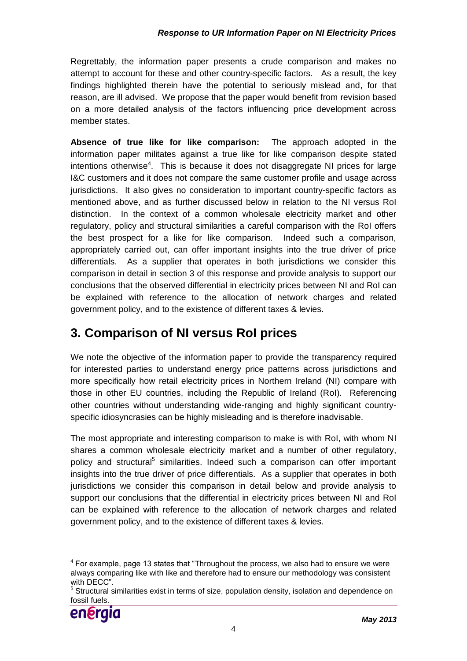Regrettably, the information paper presents a crude comparison and makes no attempt to account for these and other country-specific factors. As a result, the key findings highlighted therein have the potential to seriously mislead and, for that reason, are ill advised. We propose that the paper would benefit from revision based on a more detailed analysis of the factors influencing price development across member states.

**Absence of true like for like comparison:** The approach adopted in the information paper militates against a true like for like comparison despite stated intentions otherwise<sup>4</sup>. This is because it does not disaggregate NI prices for large I&C customers and it does not compare the same customer profile and usage across jurisdictions. It also gives no consideration to important country-specific factors as mentioned above, and as further discussed below in relation to the NI versus RoI distinction. In the context of a common wholesale electricity market and other regulatory, policy and structural similarities a careful comparison with the RoI offers the best prospect for a like for like comparison. Indeed such a comparison, appropriately carried out, can offer important insights into the true driver of price differentials. As a supplier that operates in both jurisdictions we consider this comparison in detail in section 3 of this response and provide analysis to support our conclusions that the observed differential in electricity prices between NI and RoI can be explained with reference to the allocation of network charges and related government policy, and to the existence of different taxes & levies.

# **3. Comparison of NI versus RoI prices**

We note the objective of the information paper to provide the transparency required for interested parties to understand energy price patterns across jurisdictions and more specifically how retail electricity prices in Northern Ireland (NI) compare with those in other EU countries, including the Republic of Ireland (RoI). Referencing other countries without understanding wide-ranging and highly significant countryspecific idiosyncrasies can be highly misleading and is therefore inadvisable.

The most appropriate and interesting comparison to make is with RoI, with whom NI shares a common wholesale electricity market and a number of other regulatory, policy and structural<sup>5</sup> similarities. Indeed such a comparison can offer important insights into the true driver of price differentials. As a supplier that operates in both jurisdictions we consider this comparison in detail below and provide analysis to support our conclusions that the differential in electricity prices between NI and RoI can be explained with reference to the allocation of network charges and related government policy, and to the existence of different taxes & levies.

<sup>5</sup> Structural similarities exist in terms of size, population density, isolation and dependence on fossil fuels.



<sup>1</sup>  $4$  For example, page 13 states that "Throughout the process, we also had to ensure we were always comparing like with like and therefore had to ensure our methodology was consistent with DECC".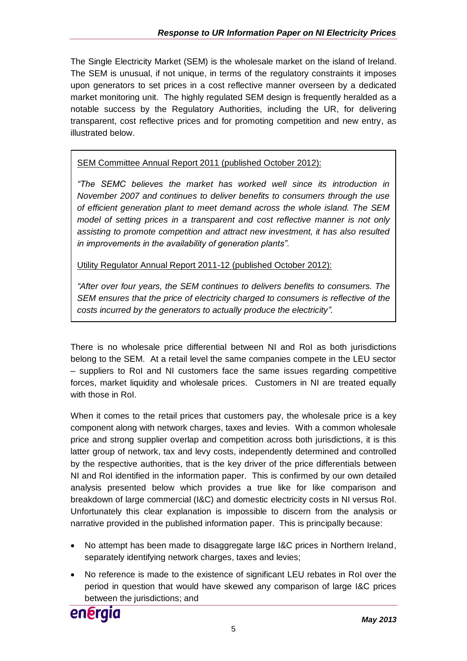The Single Electricity Market (SEM) is the wholesale market on the island of Ireland. The SEM is unusual, if not unique, in terms of the regulatory constraints it imposes upon generators to set prices in a cost reflective manner overseen by a dedicated market monitoring unit. The highly regulated SEM design is frequently heralded as a notable success by the Regulatory Authorities, including the UR, for delivering transparent, cost reflective prices and for promoting competition and new entry, as illustrated below.

SEM Committee Annual Report 2011 (published October 2012):

*"The SEMC believes the market has worked well since its introduction in November 2007 and continues to deliver benefits to consumers through the use of efficient generation plant to meet demand across the whole island. The SEM model of setting prices in a transparent and cost reflective manner is not only assisting to promote competition and attract new investment, it has also resulted in improvements in the availability of generation plants".*

Utility Regulator Annual Report 2011-12 (published October 2012):

*"After over four years, the SEM continues to delivers benefits to consumers. The SEM ensures that the price of electricity charged to consumers is reflective of the costs incurred by the generators to actually produce the electricity".*

There is no wholesale price differential between NI and RoI as both jurisdictions belong to the SEM. At a retail level the same companies compete in the LEU sector – suppliers to RoI and NI customers face the same issues regarding competitive forces, market liquidity and wholesale prices. Customers in NI are treated equally with those in RoI.

When it comes to the retail prices that customers pay, the wholesale price is a key component along with network charges, taxes and levies. With a common wholesale price and strong supplier overlap and competition across both jurisdictions, it is this latter group of network, tax and levy costs, independently determined and controlled by the respective authorities, that is the key driver of the price differentials between NI and RoI identified in the information paper. This is confirmed by our own detailed analysis presented below which provides a true like for like comparison and breakdown of large commercial (I&C) and domestic electricity costs in NI versus RoI. Unfortunately this clear explanation is impossible to discern from the analysis or narrative provided in the published information paper. This is principally because:

- No attempt has been made to disaggregate large I&C prices in Northern Ireland, separately identifying network charges, taxes and levies;
- No reference is made to the existence of significant LEU rebates in RoI over the period in question that would have skewed any comparison of large I&C prices between the jurisdictions; and

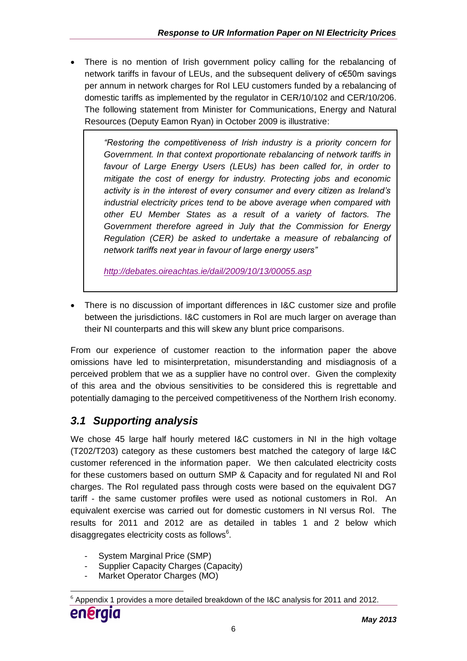There is no mention of Irish government policy calling for the rebalancing of network tariffs in favour of LEUs, and the subsequent delivery of c€50m savings per annum in network charges for RoI LEU customers funded by a rebalancing of domestic tariffs as implemented by the regulator in CER/10/102 and CER/10/206. The following statement from Minister for Communications, Energy and Natural Resources (Deputy Eamon Ryan) in October 2009 is illustrative:

> *"Restoring the competitiveness of Irish industry is a priority concern for Government. In that context proportionate rebalancing of network tariffs in favour of Large Energy Users (LEUs) has been called for, in order to mitigate the cost of energy for industry. Protecting jobs and economic activity is in the interest of every consumer and every citizen as Ireland's industrial electricity prices tend to be above average when compared with other EU Member States as a result of a variety of factors. The Government therefore agreed in July that the Commission for Energy Regulation (CER) be asked to undertake a measure of rebalancing of network tariffs next year in favour of large energy users"*

*<http://debates.oireachtas.ie/dail/2009/10/13/00055.asp>*

 There is no discussion of important differences in I&C customer size and profile between the jurisdictions. I&C customers in RoI are much larger on average than their NI counterparts and this will skew any blunt price comparisons.

From our experience of customer reaction to the information paper the above omissions have led to misinterpretation, misunderstanding and misdiagnosis of a perceived problem that we as a supplier have no control over. Given the complexity of this area and the obvious sensitivities to be considered this is regrettable and potentially damaging to the perceived competitiveness of the Northern Irish economy.

## *3.1 Supporting analysis*

We chose 45 large half hourly metered I&C customers in NI in the high voltage (T202/T203) category as these customers best matched the category of large I&C customer referenced in the information paper. We then calculated electricity costs for these customers based on outturn SMP & Capacity and for regulated NI and RoI charges. The RoI regulated pass through costs were based on the equivalent DG7 tariff - the same customer profiles were used as notional customers in RoI. An equivalent exercise was carried out for domestic customers in NI versus RoI. The results for 2011 and 2012 are as detailed in tables 1 and 2 below which disaggregates electricity costs as follows $<sup>6</sup>$ .</sup>

- System Marginal Price (SMP)
- Supplier Capacity Charges (Capacity)
- Market Operator Charges (MO)

<sup>&</sup>lt;u>.</u>  $6$  Appendix 1 provides a more detailed breakdown of the I&C analysis for 2011 and 2012.

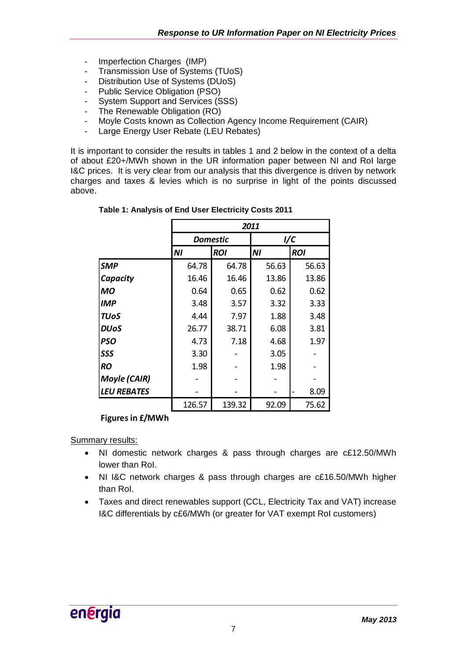- Imperfection Charges (IMP)
- Transmission Use of Systems (TUoS)
- Distribution Use of Systems (DUoS)
- Public Service Obligation (PSO)
- System Support and Services (SSS)
- The Renewable Obligation (RO)
- Moyle Costs known as Collection Agency Income Requirement (CAIR)
- Large Energy User Rebate (LEU Rebates)

It is important to consider the results in tables 1 and 2 below in the context of a delta of about £20+/MWh shown in the UR information paper between NI and RoI large I&C prices. It is very clear from our analysis that this divergence is driven by network charges and taxes & levies which is no surprise in light of the points discussed above.

|                     |        | 2011            |       |            |  |  |
|---------------------|--------|-----------------|-------|------------|--|--|
|                     |        | <b>Domestic</b> |       | 1/C        |  |  |
|                     | ΝI     | <b>ROI</b>      | ΝI    | <b>ROI</b> |  |  |
| <b>SMP</b>          | 64.78  | 64.78           | 56.63 | 56.63      |  |  |
| Capacity            | 16.46  | 16.46           | 13.86 | 13.86      |  |  |
| МO                  | 0.64   | 0.65            | 0.62  | 0.62       |  |  |
| IMP                 | 3.48   | 3.57            | 3.32  | 3.33       |  |  |
| <b>TUoS</b>         | 4.44   | 7.97            | 1.88  | 3.48       |  |  |
| <b>DUoS</b>         | 26.77  | 38.71           | 6.08  | 3.81       |  |  |
| <b>PSO</b>          | 4.73   | 7.18            | 4.68  | 1.97       |  |  |
| SSS                 | 3.30   |                 | 3.05  |            |  |  |
| <b>RO</b>           | 1.98   |                 | 1.98  |            |  |  |
| <b>Moyle (CAIR)</b> |        |                 |       |            |  |  |
| <b>LEU REBATES</b>  |        |                 |       | 8.09       |  |  |
|                     | 126.57 | 139.32          | 92.09 | 75.62      |  |  |

### **Figures in £/MWh**

Summary results:

- NI domestic network charges & pass through charges are c£12.50/MWh lower than RoI.
- NI I&C network charges & pass through charges are c£16.50/MWh higher than RoI.
- Taxes and direct renewables support (CCL, Electricity Tax and VAT) increase I&C differentials by c£6/MWh (or greater for VAT exempt RoI customers)

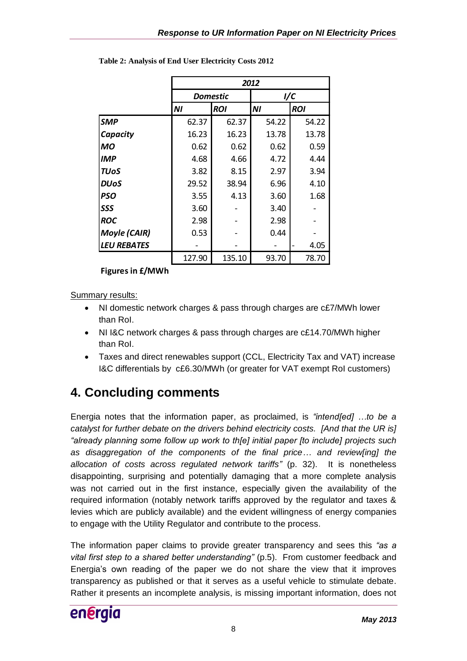|                     | 2012   |                 |       |            |  |  |
|---------------------|--------|-----------------|-------|------------|--|--|
|                     |        | <b>Domestic</b> | 1/C   |            |  |  |
|                     | ΝI     | <b>ROI</b>      | NI    | <b>ROI</b> |  |  |
| <b>SMP</b>          | 62.37  | 62.37           | 54.22 | 54.22      |  |  |
| Capacity            | 16.23  | 16.23           | 13.78 | 13.78      |  |  |
| МO                  | 0.62   | 0.62            | 0.62  | 0.59       |  |  |
| <b>IMP</b>          | 4.68   | 4.66            | 4.72  | 4.44       |  |  |
| <b>TUoS</b>         | 3.82   | 8.15            | 2.97  | 3.94       |  |  |
| <b>DUoS</b>         | 29.52  | 38.94           | 6.96  | 4.10       |  |  |
| <b>PSO</b>          | 3.55   | 4.13            | 3.60  | 1.68       |  |  |
| SSS                 | 3.60   |                 | 3.40  |            |  |  |
| <b>ROC</b>          | 2.98   |                 | 2.98  |            |  |  |
| <b>Moyle (CAIR)</b> | 0.53   |                 | 0.44  |            |  |  |
| <b>LEU REBATES</b>  |        |                 |       | 4.05       |  |  |
|                     | 127.90 | 135.10          | 93.70 | 78.70      |  |  |

**Table 2: Analysis of End User Electricity Costs 2012**

**Figures in £/MWh**

Summary results:

- NI domestic network charges & pass through charges are c£7/MWh lower than RoI.
- NI I&C network charges & pass through charges are c£14.70/MWh higher than RoI.
- Taxes and direct renewables support (CCL, Electricity Tax and VAT) increase I&C differentials by c£6.30/MWh (or greater for VAT exempt RoI customers)

# **4. Concluding comments**

Energia notes that the information paper, as proclaimed, is *"intend[ed] …to be a catalyst for further debate on the drivers behind electricity costs. [And that the UR is] "already planning some follow up work to th[e] initial paper [to include] projects such as disaggregation of the components of the final price… and review[ing] the allocation of costs across regulated network tariffs"* (p. 32). It is nonetheless disappointing, surprising and potentially damaging that a more complete analysis was not carried out in the first instance, especially given the availability of the required information (notably network tariffs approved by the regulator and taxes & levies which are publicly available) and the evident willingness of energy companies to engage with the Utility Regulator and contribute to the process.

The information paper claims to provide greater transparency and sees this *"as a vital first step to a shared better understanding"* (p.5). From customer feedback and Energia"s own reading of the paper we do not share the view that it improves transparency as published or that it serves as a useful vehicle to stimulate debate. Rather it presents an incomplete analysis, is missing important information, does not

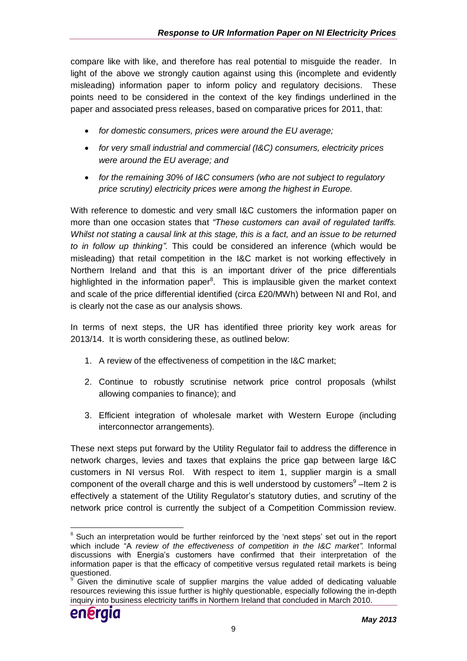compare like with like, and therefore has real potential to misguide the reader. In light of the above we strongly caution against using this (incomplete and evidently misleading) information paper to inform policy and regulatory decisions. These points need to be considered in the context of the key findings underlined in the paper and associated press releases, based on comparative prices for 2011, that:

- *for domestic consumers, prices were around the EU average;*
- *for very small industrial and commercial (I&C) consumers, electricity prices were around the EU average; and*
- *for the remaining 30% of I&C consumers (who are not subject to regulatory price scrutiny) electricity prices were among the highest in Europe.*

With reference to domestic and very small I&C customers the information paper on more than one occasion states that *"These customers can avail of regulated tariffs. Whilst not stating a causal link at this stage, this is a fact, and an issue to be returned to in follow up thinking".* This could be considered an inference (which would be misleading) that retail competition in the I&C market is not working effectively in Northern Ireland and that this is an important driver of the price differentials highlighted in the information paper<sup>8</sup>. This is implausible given the market context and scale of the price differential identified (circa £20/MWh) between NI and RoI, and is clearly not the case as our analysis shows.

In terms of next steps, the UR has identified three priority key work areas for 2013/14. It is worth considering these, as outlined below:

- 1. A review of the effectiveness of competition in the I&C market;
- 2. Continue to robustly scrutinise network price control proposals (whilst allowing companies to finance); and
- 3. Efficient integration of wholesale market with Western Europe (including interconnector arrangements).

These next steps put forward by the Utility Regulator fail to address the difference in network charges, levies and taxes that explains the price gap between large I&C customers in NI versus RoI. With respect to item 1, supplier margin is a small component of the overall charge and this is well understood by customers<sup>9</sup>-Item 2 is effectively a statement of the Utility Regulator"s statutory duties, and scrutiny of the network price control is currently the subject of a Competition Commission review.

Given the diminutive scale of supplier margins the value added of dedicating valuable resources reviewing this issue further is highly questionable, especially following the in-depth inquiry into business electricity tariffs in Northern Ireland that concluded in March 2010.



<sup>&</sup>lt;u>.</u>  $8$  Such an interpretation would be further reinforced by the 'next steps' set out in the report which include "A *review of the effectiveness of competition in the I&C market".* Informal discussions with Energia"s customers have confirmed that their interpretation of the information paper is that the efficacy of competitive versus regulated retail markets is being questioned.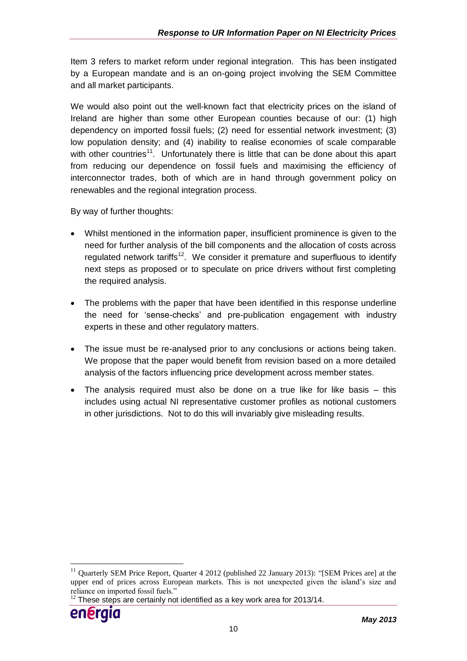Item 3 refers to market reform under regional integration. This has been instigated by a European mandate and is an on-going project involving the SEM Committee and all market participants.

We would also point out the well-known fact that electricity prices on the island of Ireland are higher than some other European counties because of our: (1) high dependency on imported fossil fuels; (2) need for essential network investment; (3) low population density; and (4) inability to realise economies of scale comparable with other countries<sup>11</sup>. Unfortunately there is little that can be done about this apart from reducing our dependence on fossil fuels and maximising the efficiency of interconnector trades, both of which are in hand through government policy on renewables and the regional integration process.

By way of further thoughts:

- Whilst mentioned in the information paper, insufficient prominence is given to the need for further analysis of the bill components and the allocation of costs across regulated network tariffs<sup>12</sup>. We consider it premature and superfluous to identify next steps as proposed or to speculate on price drivers without first completing the required analysis.
- The problems with the paper that have been identified in this response underline the need for "sense-checks" and pre-publication engagement with industry experts in these and other regulatory matters.
- The issue must be re-analysed prior to any conclusions or actions being taken. We propose that the paper would benefit from revision based on a more detailed analysis of the factors influencing price development across member states.
- The analysis required must also be done on a true like for like basis this includes using actual NI representative customer profiles as notional customers in other jurisdictions. Not to do this will invariably give misleading results.

 $12$  These steps are certainly not identified as a key work area for 2013/14.



<u>.</u>

<sup>&</sup>lt;sup>11</sup> Quarterly SEM Price Report, Quarter 4 2012 (published 22 January 2013): "[SEM Prices are] at the upper end of prices across European markets. This is not unexpected given the island's size and reliance on imported fossil fuels."